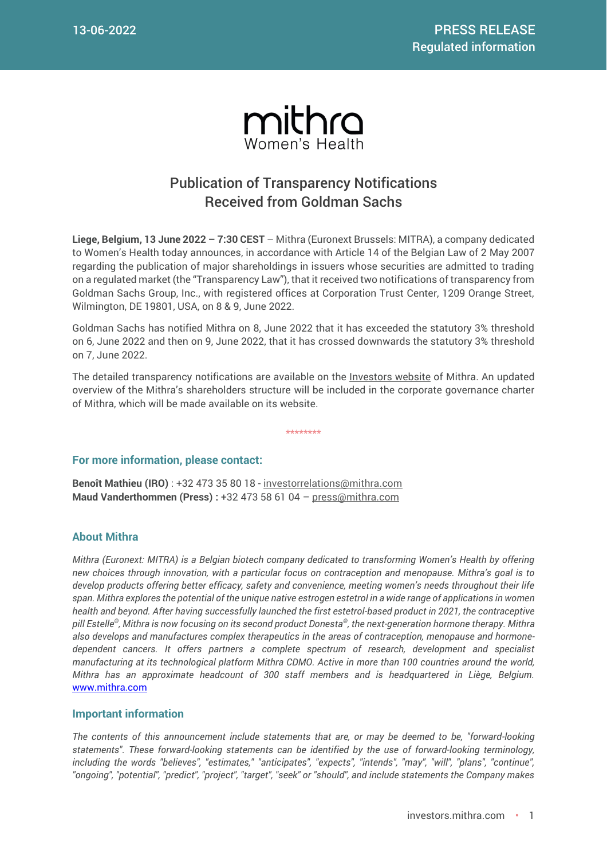

## Publication of Transparency Notifications Received from Goldman Sachs

**Liege, Belgium, 13 June 2022 – 7:30 CEST** – Mithra (Euronext Brussels: MITRA), a company dedicated to Women's Health today announces, in accordance with Article 14 of the Belgian Law of 2 May 2007 regarding the publication of major shareholdings in issuers whose securities are admitted to trading on a regulated market (the "Transparency Law"), that it received two notifications of transparency from Goldman Sachs Group, Inc., with registered offices at Corporation Trust Center, 1209 Orange Street, Wilmington, DE 19801, USA, on 8 & 9, June 2022.

Goldman Sachs has notified Mithra on 8, June 2022 that it has exceeded the statutory 3% threshold on 6, June 2022 and then on 9, June 2022, that it has crossed downwards the statutory 3% threshold on 7, June 2022.

The detailed transparency notifications are available on the **Investors website** of Mithra. An updated overview of the Mithra's shareholders structure will be included in the corporate governance charter of Mithra, which will be made available on its website.

\*\*\*\*\*\*\*\*

## **For more information, please contact:**

**Benoît Mathieu (IRO)** : +32 473 35 80 18 - [investorrelations@mithra.com](mailto:investorrelations@mithra.com) **Maud Vanderthommen (Press) :** +32 473 58 61 04 – [press@mithra.com](mailto:press@mithra.com)

## **About Mithra**

*Mithra (Euronext: MITRA) is a Belgian biotech company dedicated to transforming Women's Health by offering new choices through innovation, with a particular focus on contraception and menopause. Mithra's goal is to develop products offering better efficacy, safety and convenience, meeting women's needs throughout their life span. Mithra explores the potential of the unique native estrogen estetrol in a wide range of applications in women health and beyond. After having successfully launched the first estetrol-based product in 2021, the contraceptive pill Estelle® , Mithra is now focusing on its second product Donesta® , the next-generation hormone therapy. Mithra also develops and manufactures complex therapeutics in the areas of contraception, menopause and hormonedependent cancers. It offers partners a complete spectrum of research, development and specialist manufacturing at its technological platform Mithra CDMO. Active in more than 100 countries around the world, Mithra has an approximate headcount of 300 staff members and is headquartered in Liège, Belgium.* [www.mithra.com](http://www.mithra.com/)

## **Important information**

*The contents of this announcement include statements that are, or may be deemed to be, "forward-looking statements". These forward-looking statements can be identified by the use of forward-looking terminology, including the words "believes", "estimates," "anticipates", "expects", "intends", "may", "will", "plans", "continue", "ongoing", "potential", "predict", "project", "target", "seek" or "should", and include statements the Company makes*